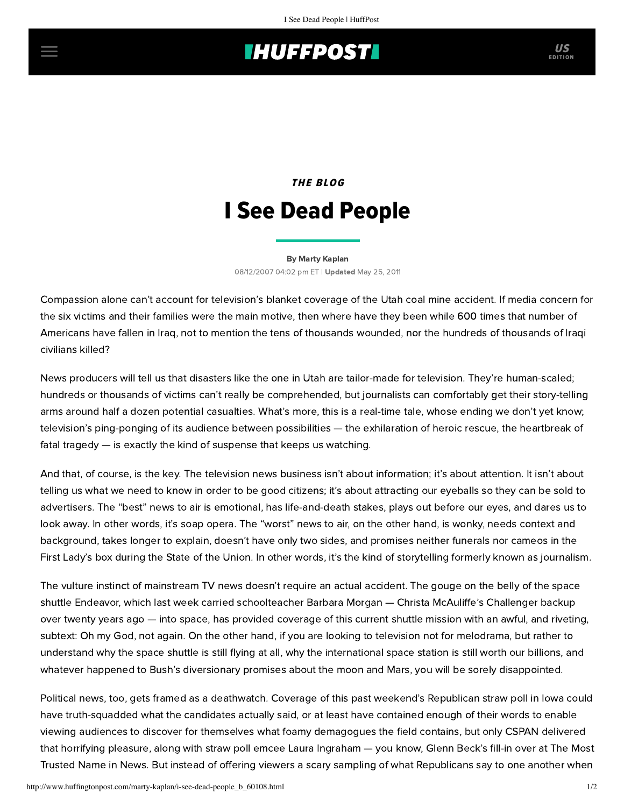## **THUFFPOST**

## **THE BLOG** I See Dead People

[By Marty Kaplan](http://www.huffingtonpost.com/author/marty-kaplan) 08/12/2007 04:02 pm ET | Updated May 25, 2011

Compassion alone can't account for television's blanket coverage of the Utah coal mine accident. If media concern for the six victims and their families were the main motive, then where have they been while 600 times that number of Americans have fallen in Iraq, not to mention the tens of thousands wounded, nor the hundreds of thousands of Iraqi civilians killed?

News producers will tell us that disasters like the one in Utah are tailor-made for television. They're human-scaled; hundreds or thousands of victims can't really be comprehended, but journalists can comfortably get their story-telling arms around half a dozen potential casualties. What's more, this is a real-time tale, whose ending we don't yet know; television's ping-ponging of its audience between possibilities — the exhilaration of heroic rescue, the heartbreak of fatal tragedy — is exactly the kind of suspense that keeps us watching.

And that, of course, is the key. The television news business isn't about information; it's about attention. It isn't about telling us what we need to know in order to be good citizens; it's about attracting our eyeballs so they can be sold to advertisers. The "best" news to air is emotional, has life-and-death stakes, plays out before our eyes, and dares us to look away. In other words, it's soap opera. The "worst" news to air, on the other hand, is wonky, needs context and background, takes longer to explain, doesn't have only two sides, and promises neither funerals nor cameos in the First Lady's box during the State of the Union. In other words, it's the kind of storytelling formerly known as journalism.

The vulture instinct of mainstream TV news doesn't require an actual accident. The gouge on the belly of the space shuttle Endeavor, which last week carried schoolteacher Barbara Morgan — Christa McAuliffe's Challenger backup over twenty years ago — into space, has provided coverage of this current shuttle mission with an awful, and riveting, subtext: Oh my God, not again. On the other hand, if you are looking to television not for melodrama, but rather to understand why the space shuttle is still flying at all, why the international space station is still worth our billions, and whatever happened to Bush's diversionary promises about the moon and Mars, you will be sorely disappointed.

Political news, too, gets framed as a deathwatch. Coverage of this past weekend's Republican straw poll in Iowa could have truth-squadded what the candidates actually said, or at least have contained enough of their words to enable viewing audiences to discover for themselves what foamy demagogues the field contains, but only CSPAN delivered that horrifying pleasure, along with straw poll emcee Laura Ingraham — you know, Glenn Beck's fill-in over at The Most Trusted Name in News. But instead of offering viewers a scary sampling of what Republicans say to one another when